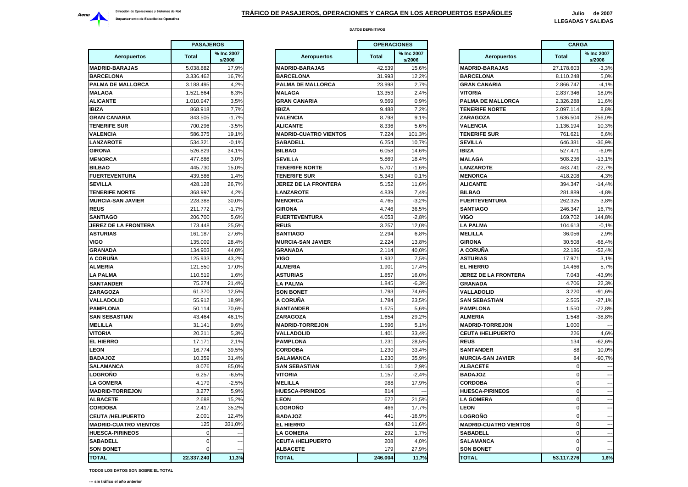

|                              | <b>PASAJEROS</b> |                      |                        |
|------------------------------|------------------|----------------------|------------------------|
| <b>Aeropuertos</b>           | <b>Total</b>     | % Inc 2007<br>s/2006 | Ae                     |
| <b>MADRID-BARAJAS</b>        | 5.038.882        | 17,9%                | <b>MADRID-BAI</b>      |
| <b>BARCELONA</b>             | 3.336.462        | 16,7%                | <b>BARCELONA</b>       |
| PALMA DE MALLORCA            | 3.188.495        | 4,2%                 | <b>PALMA DE N</b>      |
| <b>MALAGA</b>                | 1.521.664        | 6,3%                 | <b>MALAGA</b>          |
| <b>ALICANTE</b>              | 1.010.947        | 3.5%                 | <b>GRAN CANA</b>       |
| IBIZA                        | 868.918          | 7,7%                 | <b>IBIZA</b>           |
| <b>GRAN CANARIA</b>          | 843.505          | $-1.7%$              | VALENCIA               |
| <b>TENERIFE SUR</b>          | 700.296          | $-3,5%$              | <b>ALICANTE</b>        |
| VALENCIA                     | 586.375          | 19,1%                | <b>MADRID-CUA</b>      |
| <b>LANZAROTE</b>             | 534.321          | $-0,1%$              | <b>SABADELL</b>        |
| <b>GIRONA</b>                | 526.829          | 34,1%                | <b>BILBAO</b>          |
| <b>MENORCA</b>               | 477.886          | 3,0%                 | <b>SEVILLA</b>         |
| <b>BILBAO</b>                | 445.730          | 15,0%                | <b>TENERIFE N</b>      |
| <b>FUERTEVENTURA</b>         | 439.586          | 1,4%                 | <b>TENERIFE SI</b>     |
| <b>SEVILLA</b>               | 428.128          | 26,7%                | <b>JEREZ DE L/</b>     |
| <b>TENERIFE NORTE</b>        | 368.997          | 4,2%                 | <b>LANZAROTE</b>       |
| <b>MURCIA-SAN JAVIER</b>     | 228.388          | 30,0%                | <b>MENORCA</b>         |
| <b>REUS</b>                  | 211.772          | $-1,7%$              | <b>GIRONA</b>          |
| SANTIAGO                     | 206.700          | 5,6%                 | <b>FUERTEVEN</b>       |
| JEREZ DE LA FRONTERA         | 173.448          | 25,5%                | <b>REUS</b>            |
| <b>ASTURIAS</b>              | 161.187          | 27,6%                | SANTIAGO               |
| VIGO                         | 135.009          | 28,4%                | <b>MURCIA-SAN</b>      |
| <b>GRANADA</b>               | 134.903          | 44,0%                | GRANADA                |
| A CORUÑA                     | 125.933          | 43,2%                | VIGO                   |
| ALMERIA                      | 121.550          | 17,0%                | ALMERIA                |
| LA PALMA                     | 110.519          | 1,6%                 | <b>ASTURIAS</b>        |
| <b>SANTANDER</b>             | 75.274           | 21,4%                | LA PALMA               |
| ZARAGOZA                     | 61.370           | 12,5%                | <b>SON BONET</b>       |
| VALLADOLID                   | 55.912           | 18,9%                | A CORUÑA               |
| <b>PAMPLONA</b>              | 50.114           | 70,6%                | <b>SANTANDER</b>       |
| <b>SAN SEBASTIAN</b>         | 43.464           | 46,1%                | ZARAGOZA               |
| <b>MELILLA</b>               | 31.141           | 9,6%                 | <b>MADRID-TOF</b>      |
| VITORIA                      | 20.211           | 5,3%                 | VALLADOLII             |
| EL HIERRO                    | 17.171           | 2,1%                 | <b>PAMPLONA</b>        |
| <b>LEON</b>                  | 16.774           | 39,5%                | <b>CORDOBA</b>         |
| <b>BADAJOZ</b>               | 10.359           | 31,4%                | <b>SALAMANC/</b>       |
| SALAMANCA                    | 8.076            | 85,0%                | SAN SEBAS <sup>.</sup> |
| LOGROÑO                      | 6.257            | $-6,5%$              | <b>VITORIA</b>         |
| LA GOMERA                    | 4.179            | $-2,5%$              | <b>MELILLA</b>         |
| <b>MADRID-TORREJON</b>       | 3.277            | 5,9%                 | <b>HUESCA-PIR</b>      |
| <b>ALBACETE</b>              | 2.688            | 15,2%                | LEON                   |
| <b>CORDOBA</b>               | 2.417            | 35,2%                | <b>LOGROÑO</b>         |
| <b>CEUTA /HELIPUERTO</b>     | 2.001            | 12,4%                | <b>BADAJOZ</b>         |
| <b>MADRID-CUATRO VIENTOS</b> | 125              | 331,0%               | EL HIERRO              |
| <b>HUESCA-PIRINEOS</b>       | 0                |                      | <b>LA GOMERA</b>       |
| <b>SABADELL</b>              | 0                |                      | <b>CEUTA /HEL</b>      |
| <b>SON BONET</b>             | 0                |                      | <b>ALBACETE</b>        |
| <b>TOTAL</b>                 | 22.337.240       | 11,3%                | <b>TOTAL</b>           |
|                              |                  |                      |                        |

|                            | <b>PASAJEROS</b> |                      |                              | <b>OPERACIONES</b> |                      |                              | <b>CARGA</b> |                          |
|----------------------------|------------------|----------------------|------------------------------|--------------------|----------------------|------------------------------|--------------|--------------------------|
| <b>Aeropuertos</b>         | <b>Total</b>     | % Inc 2007<br>s/2006 | <b>Aeropuertos</b>           | <b>Total</b>       | % Inc 2007<br>s/2006 | <b>Aeropuertos</b>           | <b>Total</b> | % Inc 2007<br>s/2006     |
| <b>DRID-BARAJAS</b>        | 5.038.882        | 17,9%                | <b>MADRID-BARAJAS</b>        | 42.539             | 15,6%                | <b>MADRID-BARAJAS</b>        | 27.178.603   | $-3,3%$                  |
| <b>RCELONA</b>             | 3.336.462        | 16,7%                | <b>BARCELONA</b>             | 31.993             | 12,2%                | <b>BARCELONA</b>             | 8.110.248    | 5,0%                     |
| <b>MA DE MALLORCA</b>      | 3.188.495        | 4,2%                 | PALMA DE MALLORCA            | 23.998             | 2,7%                 | <b>GRAN CANARIA</b>          | 2.866.747    | $-4,1%$                  |
| LAGA                       | 1.521.664        | 6,3%                 | <b>MALAGA</b>                | 13.353             | 2,4%                 | VITORIA                      | 2.837.346    | 18,0%                    |
| CANTE                      | 1.010.947        | 3,5%                 | <b>GRAN CANARIA</b>          | 9.669              | 0,9%                 | PALMA DE MALLORCA            | 2.326.288    | 11,6%                    |
| Ά                          | 868.918          | 7,7%                 | <b>IBIZA</b>                 | 9.488              | 7,2%                 | <b>TENERIFE NORTE</b>        | 2.097.114    | 8.8%                     |
| AN CANARIA                 | 843.505          | $-1,7%$              | <b>VALENCIA</b>              | 8.798              | 9,1%                 | ZARAGOZA                     | 1.636.504    | 256,0%                   |
| <b>IERIFE SUR</b>          | 700.296          | $-3.5%$              | <b>ALICANTE</b>              | 8.336              | 5,6%                 | <b>VALENCIA</b>              | 1.136.194    | 10.3%                    |
| <b>ENCIA</b>               | 586.375          | 19,1%                | <b>MADRID-CUATRO VIENTOS</b> | 7.224              | 101,3%               | <b>TENERIFE SUR</b>          | 761.621      | 6,6%                     |
| <b>IZAROTE</b>             | 534.321          | $-0.1%$              | <b>SABADELL</b>              | 6.254              | 10,7%                | <b>SEVILLA</b>               | 646.381      | $-36,9%$                 |
| ONA                        | 526.829          | 34,1%                | <b>BILBAO</b>                | 6.058              | 14,6%                | <b>IBIZA</b>                 | 527.471      | $-6,0%$                  |
| <b>NORCA</b>               | 477.886          | 3,0%                 | <b>SEVILLA</b>               | 5.869              | 18,4%                | <b>MALAGA</b>                | 508.236      | $-13,1%$                 |
| BAO                        | 445.730          | 15,0%                | <b>TENERIFE NORTE</b>        | 5.707              | $-1,6%$              | <b>LANZAROTE</b>             | 463.741      | $-22,7%$                 |
| <b>ERTEVENTURA</b>         | 439.586          | 1,4%                 | <b>TENERIFE SUR</b>          | 5.343              | 0,1%                 | <b>MENORCA</b>               | 418.208      | 4,3%                     |
| <b>ILLA</b>                | 428.128          | 26,7%                | <b>JEREZ DE LA FRONTERA</b>  | 5.152              | 11,6%                | <b>ALICANTE</b>              | 394.347      | $-14,4%$                 |
| <b>IERIFE NORTE</b>        | 368.997          | 4,2%                 | <b>LANZAROTE</b>             | 4.839              | 7,4%                 | <b>BILBAO</b>                | 281.889      | $-4,8%$                  |
| <b>RCIA-SAN JAVIER</b>     | 228.388          | 30,0%                | <b>MENORCA</b>               | 4.765              | $-3,2%$              | <b>FUERTEVENTURA</b>         | 262.325      | 3,8%                     |
| JS                         | 211.772          | $-1,7%$              | <b>GIRONA</b>                | 4.746              | 36,5%                | <b>SANTIAGO</b>              | 246.347      | 16,7%                    |
| <b>ATIAGO</b>              | 206.700          | 5,6%                 | <b>FUERTEVENTURA</b>         | 4.053              | $-2,8%$              | <b>VIGO</b>                  | 169.702      | 144,8%                   |
| <b>EZ DE LA FRONTERA</b>   | 173.448          | 25,5%                | <b>REUS</b>                  | 3.257              | 12.0%                | LA PALMA                     | 104.613      | $-0,1%$                  |
| <b>TURIAS</b>              | 161.187          | 27,6%                | <b>SANTIAGO</b>              | 2.294              | 6,8%                 | <b>MELILLA</b>               | 36.056       | 2,9%                     |
| Ο                          | 135.009          | 28,4%                | <b>MURCIA-SAN JAVIER</b>     | 2.224              | 13,8%                | <b>GIRONA</b>                | 30.508       | $-68,4%$                 |
| ANADA                      | 134.903          | 44,0%                | <b>GRANADA</b>               | 2.114              | 40,0%                | A CORUÑA                     | 22.186       | $-52,4%$                 |
| ORUÑA                      | 125.933          | 43,2%                | <b>VIGO</b>                  | 1.932              | 7,5%                 | <b>ASTURIAS</b>              | 17.971       | 3,1%                     |
| <b>IERIA</b>               | 121.550          | 17,0%                | <b>ALMERIA</b>               | 1.901              | 17,4%                | <b>EL HIERRO</b>             | 14.466       | 5,7%                     |
| <b>PALMA</b>               | 110.519          | 1,6%                 | <b>ASTURIAS</b>              | 1.857              | 16,0%                | <b>JEREZ DE LA FRONTERA</b>  | 7.043        | $-43,9%$                 |
| <b>ITANDER</b>             | 75.274           | 21,4%                | <b>LA PALMA</b>              | 1.845              | $-6,3%$              | <b>GRANADA</b>               | 4.706        | 22,3%                    |
| <b>AGOZA</b>               | 61.370           | 12,5%                | <b>SON BONET</b>             | 1.793              | 74,6%                | <b>VALLADOLID</b>            | 3.220        | $-91,6%$                 |
| <b>LADOLID</b>             | 55.912           | 18.9%                | A CORUÑA                     | 1.784              | 23.5%                | <b>SAN SEBASTIAN</b>         | 2.565        | $-27.1%$                 |
| <b>APLONA</b>              | 50.114           | 70,6%                | <b>SANTANDER</b>             | 1.675              | 5,6%                 | <b>PAMPLONA</b>              | 1.550        | $-72,8%$                 |
| <b>I SEBASTIAN</b>         | 43.464           | 46.1%                | <b>ZARAGOZA</b>              | 1.654              | 29.2%                | <b>ALMERIA</b>               | 1.548        | $-38,8%$                 |
| LILLA                      | 31.141           | 9,6%                 | <b>MADRID-TORREJON</b>       | 1.596              | 5,1%                 | <b>MADRID-TORREJON</b>       | 1.000        |                          |
| <b>ORIA</b>                | 20.211           | 5,3%                 | <b>VALLADOLID</b>            | 1.401              | 33,4%                | <b>CEUTA /HELIPUERTO</b>     | 226          | 4,6%                     |
| <b>HIERRO</b>              | 17.171           | 2,1%                 | <b>PAMPLONA</b>              | 1.231              | 28,5%                | <b>REUS</b>                  | 134          | $-62,6%$                 |
| )N                         | 16.774           | 39,5%                | <b>CORDOBA</b>               | 1.230              | 33,4%                | <b>SANTANDER</b>             | 88           | 10,0%                    |
| <b>SOLAC</b>               | 10.359           | 31,4%                | <b>SALAMANCA</b>             | 1.230              | 35,9%                | <b>MURCIA-SAN JAVIER</b>     | 84           | $-90,7%$                 |
| <b>AMANCA</b>              | 8.076            | 85,0%                | <b>SAN SEBASTIAN</b>         | 1.161              | 2,9%                 | <b>ALBACETE</b>              | $\Omega$     |                          |
| <b>GROÑO</b>               | 6.257            | $-6,5%$              | <b>VITORIA</b>               | 1.157              | $-2,4%$              | <b>BADAJOZ</b>               | $\Omega$     |                          |
| <b>GOMERA</b>              | 4.179            | $-2.5%$              | <b>MELILLA</b>               | 988                | 17,9%                | <b>CORDOBA</b>               | $\Omega$     |                          |
| <b>DRID-TORREJON</b>       | 3.277            | 5,9%                 | <b>HUESCA-PIRINEOS</b>       | 814                |                      | <b>HUESCA-PIRINEOS</b>       | $\Omega$     |                          |
| <b>ACETE</b>               | 2.688            | 15,2%                | <b>EON</b>                   | 672                | 21.5%                | LA GOMERA                    | $\Omega$     |                          |
| <b>RDOBA</b>               | 2.417            | 35,2%                | <b>_OGROÑO</b>               | 466                | 17,7%                | <b>LEON</b>                  | $\Omega$     |                          |
| <b>JTA /HELIPUERTO</b>     | 2.001            | 12,4%                | <b>BADAJOZ</b>               | 441                | $-16,9%$             | LOGROÑO                      | $\Omega$     | $\overline{\phantom{a}}$ |
| <b>DRID-CUATRO VIENTOS</b> | 125              | 331,0%               | <b>EL HIERRO</b>             | 424                | 11,6%                | <b>MADRID-CUATRO VIENTOS</b> | $\Omega$     |                          |
| <b>ESCA-PIRINEOS</b>       | $\Omega$         | $\sim$               | <b>LA GOMERA</b>             | 292                | 1,7%                 | <b>SABADELL</b>              | $\mathbf 0$  | $\overline{a}$           |
| <b>BADELL</b>              | $\Omega$         | $\overline{a}$       | <b>CEUTA /HELIPUERTO</b>     | 208                | 4,0%                 | SALAMANCA                    | $\Omega$     | $\overline{\phantom{a}}$ |
| <b>N BONET</b>             | $\Omega$         |                      | <b>ALBACETE</b>              | 179                | 27,9%                | <b>SON BONET</b>             | $\Omega$     | $\overline{\phantom{a}}$ |
| <b>TAL</b>                 | 22.337.240       | 11,3%                | <b>TOTAL</b>                 | 246.004            | 11,7%                | <b>TOTAL</b>                 | 53.117.276   | 1,6%                     |

|                            | <b>OPERACIONES</b> |                      |                              | <b>CARGA</b> |                      |
|----------------------------|--------------------|----------------------|------------------------------|--------------|----------------------|
| <b>Aeropuertos</b>         | <b>Total</b>       | % Inc 2007<br>s/2006 | <b>Aeropuertos</b>           | <b>Total</b> | % Inc 2007<br>s/2006 |
| <b>BARAJAS</b>             | 42.539             | 15,6%                | <b>MADRID-BARAJAS</b>        | 27.178.603   | $-3,3%$              |
| ۱NA                        | 31.993             | 12,2%                | <b>BARCELONA</b>             | 8.110.248    | 5,0%                 |
| E MALLORCA                 | 23.998             | 2,7%                 | <b>GRAN CANARIA</b>          | 2.866.747    | $-4,1%$              |
|                            | 13.353             | 2.4%                 | <b>VITORIA</b>               | 2.837.346    | 18,0%                |
| NARIA                      | 9.669              | 0.9%                 | PALMA DE MALLORCA            | 2.326.288    | 11,6%                |
|                            | 9.488              | 7,2%                 | <b>TENERIFE NORTE</b>        | 2.097.114    | 8,8%                 |
|                            | 8.798              | 9,1%                 | <b>ZARAGOZA</b>              | 1.636.504    | 256,0%               |
|                            | 8.336              | 5,6%                 | <b>VALENCIA</b>              | 1.136.194    | 10,3%                |
| <b>UATRO VIENTOS:</b>      | 7.224              | 101,3%               | <b>TENERIFE SUR</b>          | 761.621      | 6,6%                 |
|                            | 6.254              | 10,7%                | SEVILLA                      | 646.381      | $-36,9%$             |
|                            | 6.058              | 14,6%                | <b>IBIZA</b>                 | 527.471      | $-6,0%$              |
|                            | 5.869              | 18,4%                | <b>MALAGA</b>                | 508.236      | $-13,1%$             |
| : NORTE                    | 5.707              | $-1,6%$              | <b>LANZAROTE</b>             | 463.741      | $-22,7%$             |
| : SUR                      | 5.343              | 0,1%                 | <b>MENORCA</b>               | 418.208      | 4,3%                 |
| LA FRONTERA                | 5.152              | 11,6%                | <b>ALICANTE</b>              | 394.347      | $-14,4%$             |
| TE                         | 4.839              | 7,4%                 | <b>BILBAO</b>                | 281.889      | $-4,8%$              |
| ١                          | 4.765              | $-3,2%$              | <b>FUERTEVENTURA</b>         | 262.325      | 3,8%                 |
|                            | 4.746              | 36,5%                | <b>SANTIAGO</b>              | 246.347      | 16,7%                |
| <b>ENTURA</b>              | 4.053              | $-2,8%$              | VIGO                         | 169.702      | 144,8%               |
|                            | 3.257              | 12,0%                | <b>LA PALMA</b>              | 104.613      | $-0,1%$              |
| C                          | 2.294              | 6,8%                 | <b>MELILLA</b>               | 36.056       | 2,9%                 |
| <b>SAN JAVIER</b>          | 2.224              | 13,8%                | <b>GIRONA</b>                | 30.508       | $-68,4%$             |
|                            | 2.114              | 40,0%                | A CORUÑA                     | 22.186       | $-52,4%$             |
|                            | 1.932              | 7,5%                 | <b>ASTURIAS</b>              | 17.971       | 3,1%                 |
|                            | 1.901              | 17,4%                | <b>EL HIERRO</b>             | 14.466       | 5,7%                 |
|                            | 1.857              | 16,0%                | <b>JEREZ DE LA FRONTERA</b>  | 7.043        | $-43,9%$             |
| ١                          | 1.845              | $-6,3%$              | <b>GRANADA</b>               | 4.706        | 22,3%                |
| EΤ                         | 1.793              | 74,6%                | <b>VALLADOLID</b>            | 3.220        | $-91,6%$             |
| A                          | 1.784              | 23,5%                | <b>SAN SEBASTIAN</b>         | 2.565        | $-27,1%$             |
| ER                         | 1.675              | 5,6%                 | <b>PAMPLONA</b>              | 1.550        | $-72,8%$             |
| Ά                          | 1.654              | 29,2%                | <b>ALMERIA</b>               | 1.548        | $-38,8%$             |
| <b>ORREJON</b>             | 1.596              | 5,1%                 | <b>MADRID-TORREJON</b>       | 1.000        |                      |
|                            |                    |                      | <b>CEUTA /HELIPUERTO</b>     | 226          |                      |
| LID<br>IA                  | 1.401<br>1.231     | 33,4%<br>28,5%       | <b>REUS</b>                  | 134          | 4,6%<br>$-62,6%$     |
| ١                          | 1.230              |                      | <b>SANTANDER</b>             | 88           |                      |
| ICA                        | 1.230              | 33,4%<br>35,9%       | <b>MURCIA-SAN JAVIER</b>     | 84           | 10,0%<br>$-90,7%$    |
|                            | 1.161              | 2,9%                 | <b>ALBACETE</b>              | $\mathbf 0$  | ٠.                   |
| <b><i><u>STIAN</u></i></b> |                    |                      | <b>BADAJOZ</b>               | $\Omega$     |                      |
|                            | 1.157              | $-2,4%$              |                              |              | --                   |
|                            | 988                | 17,9%                | <b>CORDOBA</b>               | $\mathbf 0$  |                      |
| PIRINEOS                   | 814                |                      | <b>HUESCA-PIRINEOS</b>       | $\mathbf 0$  |                      |
|                            | 672                | 21,5%                | <b>LA GOMERA</b>             | $\mathbf 0$  |                      |
| ነ                          | 466                | 17,7%                | <b>LEON</b>                  | $\mathbf 0$  | $\overline{a}$       |
|                            | 441                | $-16,9%$             | LOGROÑO                      | $\Omega$     | $\sim$               |
| ٥                          | 424                | 11,6%                | <b>MADRID-CUATRO VIENTOS</b> | 0            | н,                   |
| RΑ                         | 292                | 1,7%                 | <b>SABADELL</b>              | $\mathbf 0$  |                      |
| <b>ELIPUERTO</b>           | 208                | 4,0%                 | SALAMANCA                    | 0            |                      |
| E                          | 179                | 27,9%                | <b>SON BONET</b>             | $\Omega$     | $\overline{a}$       |
|                            | 246.004            | 11,7%                | <b>TOTAL</b>                 | 53.117.276   | 1,6%                 |

**TODOS LOS DATOS SON SOBRE EL TOTAL**